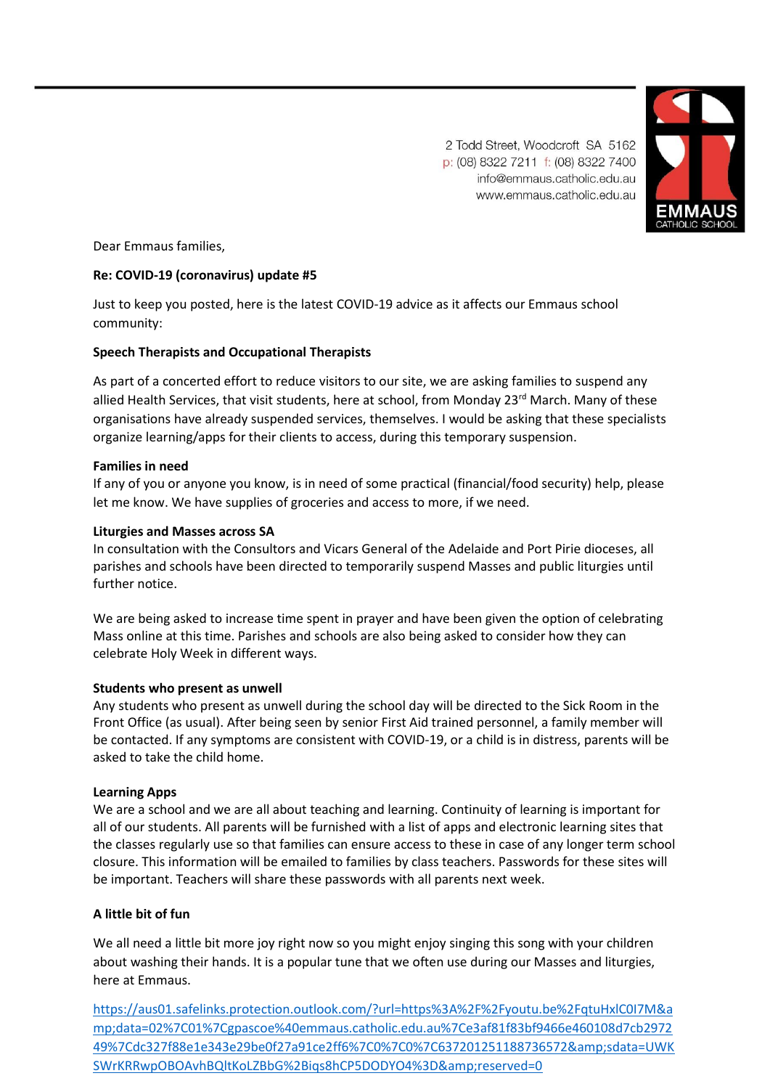2 Todd Street, Woodcroft SA 5162 p: (08) 8322 7211 f: (08) 8322 7400 info@emmaus.catholic.edu.au www.emmaus.catholic.edu.au



Dear Emmaus families,

# **Re: COVID-19 (coronavirus) update #5**

Just to keep you posted, here is the latest COVID-19 advice as it affects our Emmaus school community:

# **Speech Therapists and Occupational Therapists**

As part of a concerted effort to reduce visitors to our site, we are asking families to suspend any allied Health Services, that visit students, here at school, from Monday 23<sup>rd</sup> March. Many of these organisations have already suspended services, themselves. I would be asking that these specialists organize learning/apps for their clients to access, during this temporary suspension.

#### **Families in need**

If any of you or anyone you know, is in need of some practical (financial/food security) help, please let me know. We have supplies of groceries and access to more, if we need.

### **Liturgies and Masses across SA**

In consultation with the Consultors and Vicars General of the Adelaide and Port Pirie dioceses, all parishes and schools have been directed to temporarily suspend Masses and public liturgies until further notice.

We are being asked to increase time spent in prayer and have been given the option of celebrating Mass online at this time. Parishes and schools are also being asked to consider how they can celebrate Holy Week in different ways.

#### **Students who present as unwell**

Any students who present as unwell during the school day will be directed to the Sick Room in the Front Office (as usual). After being seen by senior First Aid trained personnel, a family member will be contacted. If any symptoms are consistent with COVID-19, or a child is in distress, parents will be asked to take the child home.

#### **Learning Apps**

We are a school and we are all about teaching and learning. Continuity of learning is important for all of our students. All parents will be furnished with a list of apps and electronic learning sites that the classes regularly use so that families can ensure access to these in case of any longer term school closure. This information will be emailed to families by class teachers. Passwords for these sites will be important. Teachers will share these passwords with all parents next week.

# **A little bit of fun**

We all need a little bit more joy right now so you might enjoy singing this song with your children about washing their hands. It is a popular tune that we often use during our Masses and liturgies, here at Emmaus.

[https://aus01.safelinks.protection.outlook.com/?url=https%3A%2F%2Fyoutu.be%2FqtuHxlC0I7M&a](https://aus01.safelinks.protection.outlook.com/?url=https%3A%2F%2Fyoutu.be%2FqtuHxlC0I7M&data=02%7C01%7Ccgurr%40emmaus.catholic.edu.au%7Cf09a9d6d3dfa46793b4508d7cbb0e0b2%7Cdc327f88e1e343e29be0f27a91ce2ff6%7C0%7C0%7C637201832859405788&sdata=JUIhHNJCebKPPtFH1iwNYg%2FSY1QLaobn%2FUXq5LAt3Ug%3D&reserved=0) [mp;data=02%7C01%7Cgpascoe%40emmaus.catholic.edu.au%7Ce3af81f83bf9466e460108d7cb2972](https://aus01.safelinks.protection.outlook.com/?url=https%3A%2F%2Fyoutu.be%2FqtuHxlC0I7M&data=02%7C01%7Ccgurr%40emmaus.catholic.edu.au%7Cf09a9d6d3dfa46793b4508d7cbb0e0b2%7Cdc327f88e1e343e29be0f27a91ce2ff6%7C0%7C0%7C637201832859405788&sdata=JUIhHNJCebKPPtFH1iwNYg%2FSY1QLaobn%2FUXq5LAt3Ug%3D&reserved=0) [49%7Cdc327f88e1e343e29be0f27a91ce2ff6%7C0%7C0%7C637201251188736572&sdata=UWK](https://aus01.safelinks.protection.outlook.com/?url=https%3A%2F%2Fyoutu.be%2FqtuHxlC0I7M&data=02%7C01%7Ccgurr%40emmaus.catholic.edu.au%7Cf09a9d6d3dfa46793b4508d7cbb0e0b2%7Cdc327f88e1e343e29be0f27a91ce2ff6%7C0%7C0%7C637201832859405788&sdata=JUIhHNJCebKPPtFH1iwNYg%2FSY1QLaobn%2FUXq5LAt3Ug%3D&reserved=0) [SWrKRRwpOBOAvhBQltKoLZBbG%2Biqs8hCP5DODYO4%3D&reserved=0](https://aus01.safelinks.protection.outlook.com/?url=https%3A%2F%2Fyoutu.be%2FqtuHxlC0I7M&data=02%7C01%7Ccgurr%40emmaus.catholic.edu.au%7Cf09a9d6d3dfa46793b4508d7cbb0e0b2%7Cdc327f88e1e343e29be0f27a91ce2ff6%7C0%7C0%7C637201832859405788&sdata=JUIhHNJCebKPPtFH1iwNYg%2FSY1QLaobn%2FUXq5LAt3Ug%3D&reserved=0)